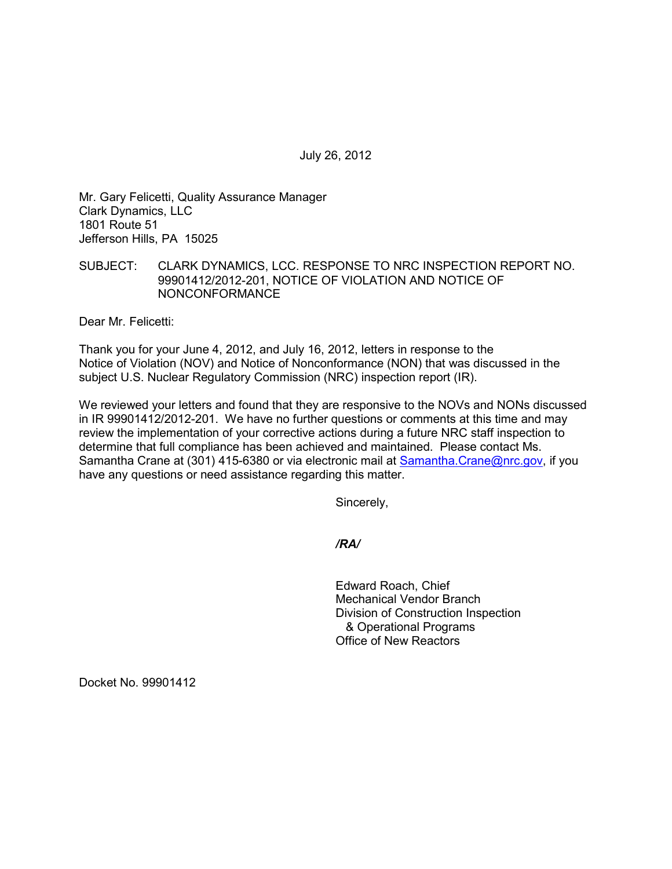July 26, 2012

Mr. Gary Felicetti, Quality Assurance Manager Clark Dynamics, LLC 1801 Route 51 Jefferson Hills, PA 15025

## SUBJECT: CLARK DYNAMICS, LCC. RESPONSE TO NRC INSPECTION REPORT NO. 99901412/2012-201, NOTICE OF VIOLATION AND NOTICE OF NONCONFORMANCE

Dear Mr. Felicetti:

Thank you for your June 4, 2012, and July 16, 2012, letters in response to the Notice of Violation (NOV) and Notice of Nonconformance (NON) that was discussed in the subject U.S. Nuclear Regulatory Commission (NRC) inspection report (IR).

We reviewed your letters and found that they are responsive to the NOVs and NONs discussed in IR 99901412/2012-201. We have no further questions or comments at this time and may review the implementation of your corrective actions during a future NRC staff inspection to determine that full compliance has been achieved and maintained. Please contact Ms. Samantha Crane at (301) 415-6380 or via electronic mail at Samantha.Crane@nrc.gov, if you have any questions or need assistance regarding this matter.

Sincerely,

*/RA/* 

Edward Roach, Chief Mechanical Vendor Branch Division of Construction Inspection & Operational Programs Office of New Reactors

Docket No. 99901412